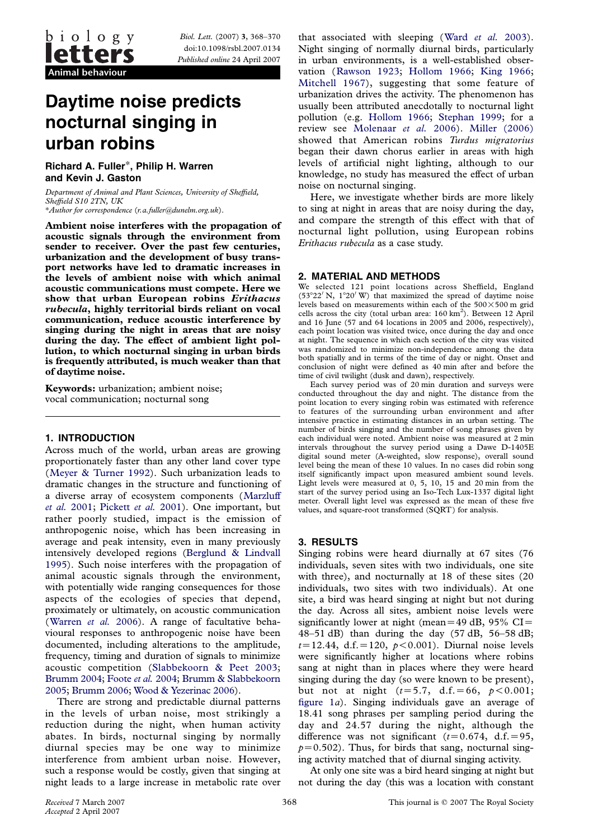Biol. Lett. (2007) 3, 368–370 doi:10.1098/rsbl.2007.0134 Published online 24 April 2007

# Daytime noise predicts nocturnal singing in urban robins

Richard A. Fuller\*, Philip H. Warren and Kevin J. Gaston

Department of Animal and Plant Sciences, University of Sheffield, Sheffield S10 2TN, UK \*Author for correspondence (r.a.fuller@dunelm.org.uk).

Ambient noise interferes with the propagation of acoustic signals through the environment from sender to receiver. Over the past few centuries, urbanization and the development of busy transport networks have led to dramatic increases in the levels of ambient noise with which animal acoustic communications must compete. Here we show that urban European robins Erithacus rubecula, highly territorial birds reliant on vocal communication, reduce acoustic interference by singing during the night in areas that are noisy during the day. The effect of ambient light pollution, to which nocturnal singing in urban birds is frequently attributed, is much weaker than that of daytime noise.

Keywords: urbanization; ambient noise; vocal communication; nocturnal song

## 1. INTRODUCTION

Across much of the world, urban areas are growing proportionately faster than any other land cover type ([Meyer & Turner 1992\)](#page-2-0). Such urbanization leads to dramatic changes in the structure and functioning of a diverse array of ecosystem components ([Marzluff](#page-2-0) et al. [2001](#page-2-0); [Pickett](#page-2-0) et al. 2001). One important, but rather poorly studied, impact is the emission of anthropogenic noise, which has been increasing in average and peak intensity, even in many previously intensively developed regions ([Berglund & Lindvall](#page-2-0) [1995](#page-2-0)). Such noise interferes with the propagation of animal acoustic signals through the environment, with potentially wide ranging consequences for those aspects of the ecologies of species that depend, proximately or ultimately, on acoustic communication ([Warren](#page-2-0) et al. 2006). A range of facultative behavioural responses to anthropogenic noise have been documented, including alterations to the amplitude, frequency, timing and duration of signals to minimize acoustic competition ([Slabbekoorn & Peet 2003;](#page-2-0) [Brumm 2004](#page-2-0); [Foote](#page-2-0) et al. 2004; [Brumm & Slabbekoorn](#page-2-0) [2005;](#page-2-0) [Brumm 2006](#page-2-0); [Wood & Yezerinac 2006](#page-2-0)).

There are strong and predictable diurnal patterns in the levels of urban noise, most strikingly a reduction during the night, when human activity abates. In birds, nocturnal singing by normally diurnal species may be one way to minimize interference from ambient urban noise. However, such a response would be costly, given that singing at night leads to a large increase in metabolic rate over that associated with sleeping (Ward [et al.](#page-2-0) 2003). Night singing of normally diurnal birds, particularly in urban environments, is a well-established observation ([Rawson 1923;](#page-2-0) [Hollom 1966;](#page-2-0) [King 1966;](#page-2-0) [Mitchell 1967\)](#page-2-0), suggesting that some feature of urbanization drives the activity. The phenomenon has usually been attributed anecdotally to nocturnal light pollution (e.g. [Hollom 1966](#page-2-0); [Stephan 1999;](#page-2-0) for a review see [Molenaar](#page-2-0) et al. 2006). [Miller \(2006\)](#page-2-0) showed that American robins Turdus migratorius began their dawn chorus earlier in areas with high levels of artificial night lighting, although to our knowledge, no study has measured the effect of urban noise on nocturnal singing.

Here, we investigate whether birds are more likely to sing at night in areas that are noisy during the day, and compare the strength of this effect with that of nocturnal light pollution, using European robins Erithacus rubecula as a case study.

### 2. MATERIAL AND METHODS

We selected 121 point locations across Sheffield, England  $(53^{\circ}22' \text{ N}, 1^{\circ}20' \text{ W})$  that maximized the spread of daytime noise levels based on measurements within each of the  $500\times500$  m grid cells across the city (total urban area:  $160 \text{ km}^2$ ). Between 12 April and 16 June (57 and 64 locations in 2005 and 2006, respectively), each point location was visited twice, once during the day and once at night. The sequence in which each section of the city was visited was randomized to minimize non-independence among the data both spatially and in terms of the time of day or night. Onset and conclusion of night were defined as 40 min after and before the time of civil twilight (dusk and dawn), respectively.

Each survey period was of 20 min duration and surveys were conducted throughout the day and night. The distance from the point location to every singing robin was estimated with reference to features of the surrounding urban environment and after intensive practice in estimating distances in an urban setting. The number of birds singing and the number of song phrases given by each individual were noted. Ambient noise was measured at 2 min intervals throughout the survey period using a Dawe D-1405E digital sound meter (A-weighted, slow response), overall sound level being the mean of these 10 values. In no cases did robin song itself significantly impact upon measured ambient sound levels. Light levels were measured at 0, 5, 10, 15 and 20 min from the start of the survey period using an Iso-Tech Lux-1337 digital light meter. Overall light level was expressed as the mean of these five values, and square-root transformed (SQRT) for analysis.

#### 3. RESULTS

Singing robins were heard diurnally at 67 sites (76 individuals, seven sites with two individuals, one site with three), and nocturnally at 18 of these sites (20 individuals, two sites with two individuals). At one site, a bird was heard singing at night but not during the day. Across all sites, ambient noise levels were significantly lower at night (mean=49 dB, 95% CI= 48–51 dB) than during the day  $(57 \text{ dB}, 56$ –58 dB;  $t=12.44$ , d.f. $=120$ ,  $p < 0.001$ ). Diurnal noise levels were significantly higher at locations where robins sang at night than in places where they were heard singing during the day (so were known to be present), but not at night  $(t=5.7, d.f.=66, p < 0.001;$ [figure 1](#page-1-0)a). Singing individuals gave an average of 18.41 song phrases per sampling period during the day and 24.57 during the night, although the difference was not significant ( $t=0.674$ , d.f. = 95,  $p=0.502$ ). Thus, for birds that sang, nocturnal singing activity matched that of diurnal singing activity.

At only one site was a bird heard singing at night but not during the day (this was a location with constant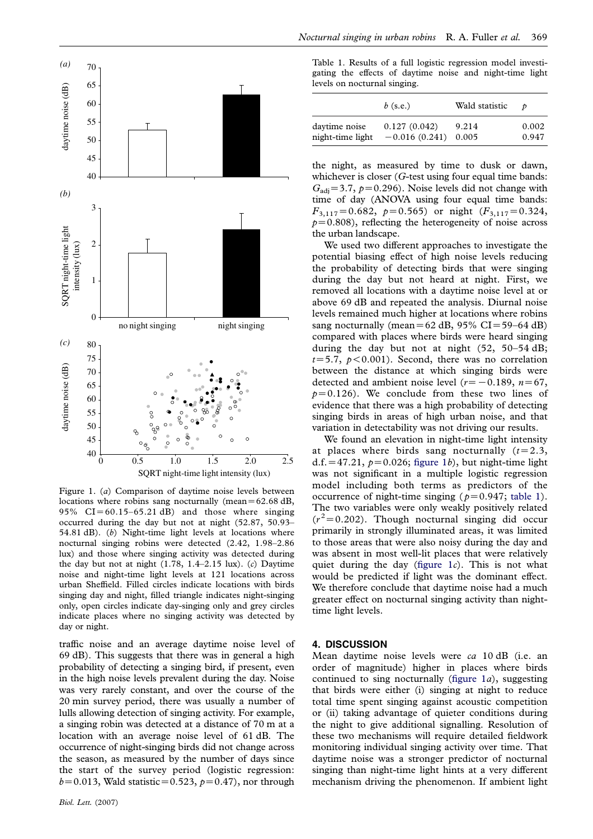<span id="page-1-0"></span>

Figure 1. (a) Comparison of daytime noise levels between locations where robins sang nocturnally (mean= $62.68$  dB, 95%  $CI = 60.15-65.21$  dB) and those where singing occurred during the day but not at night (52.87, 50.93– 54.81 dB). (b) Night-time light levels at locations where nocturnal singing robins were detected (2.42, 1.98–2.86 lux) and those where singing activity was detected during the day but not at night  $(1.78, 1.4-2.15 \text{ lux})$ .  $(c)$  Daytime noise and night-time light levels at 121 locations across urban Sheffield. Filled circles indicate locations with birds singing day and night, filled triangle indicates night-singing only, open circles indicate day-singing only and grey circles indicate places where no singing activity was detected by day or night.

traffic noise and an average daytime noise level of 69 dB). This suggests that there was in general a high probability of detecting a singing bird, if present, even in the high noise levels prevalent during the day. Noise was very rarely constant, and over the course of the 20 min survey period, there was usually a number of lulls allowing detection of singing activity. For example, a singing robin was detected at a distance of 70 m at a location with an average noise level of 61 dB. The occurrence of night-singing birds did not change across the season, as measured by the number of days since the start of the survey period (logistic regression:  $b=0.013$ , Wald statistic=0.523,  $p=0.47$ ), nor through

Table 1. Results of a full logistic regression model investigating the effects of daytime noise and night-time light levels on nocturnal singing.

|                  | $b$ (s.e.)      | Wald statistic | $\boldsymbol{\mathcal{D}}$ |
|------------------|-----------------|----------------|----------------------------|
| daytime noise    | 0.127(0.042)    | 9.214          | 0.002                      |
| night-time light | $-0.016(0.241)$ | 0.005          | 0.947                      |

the night, as measured by time to dusk or dawn, whichever is closer (G-test using four equal time bands:  $G_{\text{adj}}$ =3.7,  $p$ =0.296). Noise levels did not change with time of day (ANOVA using four equal time bands:  $F_{3,117} = 0.682$ ,  $p=0.565$ ) or night  $(F_{3,117} = 0.324$ ,  $p=0.808$ ), reflecting the heterogeneity of noise across the urban landscape.

We used two different approaches to investigate the potential biasing effect of high noise levels reducing the probability of detecting birds that were singing during the day but not heard at night. First, we removed all locations with a daytime noise level at or above 69 dB and repeated the analysis. Diurnal noise levels remained much higher at locations where robins sang nocturnally (mean=62 dB, 95% CI=59–64 dB) compared with places where birds were heard singing during the day but not at night (52, 50–54 dB;  $t=5.7$ ,  $p < 0.001$ ). Second, there was no correlation between the distance at which singing birds were detected and ambient noise level ( $r=-0.189$ ,  $n=67$ ,  $p=0.126$ ). We conclude from these two lines of evidence that there was a high probability of detecting singing birds in areas of high urban noise, and that variation in detectability was not driving our results.

We found an elevation in night-time light intensity at places where birds sang nocturnally  $(t=2.3)$ , d.f. = 47.21,  $p=0.026$ ; figure 1b), but night-time light was not significant in a multiple logistic regression model including both terms as predictors of the occurrence of night-time singing ( $p=0.947$ ; table 1). The two variables were only weakly positively related  $(r^2=0.202)$ . Though nocturnal singing did occur primarily in strongly illuminated areas, it was limited to those areas that were also noisy during the day and was absent in most well-lit places that were relatively quiet during the day (figure  $1c$ ). This is not what would be predicted if light was the dominant effect. We therefore conclude that daytime noise had a much greater effect on nocturnal singing activity than nighttime light levels.

#### 4. DISCUSSION

Mean daytime noise levels were ca 10 dB (i.e. an order of magnitude) higher in places where birds continued to sing nocturnally (figure  $1a$ ), suggesting that birds were either (i) singing at night to reduce total time spent singing against acoustic competition or (ii) taking advantage of quieter conditions during the night to give additional signalling. Resolution of these two mechanisms will require detailed fieldwork monitoring individual singing activity over time. That daytime noise was a stronger predictor of nocturnal singing than night-time light hints at a very different mechanism driving the phenomenon. If ambient light